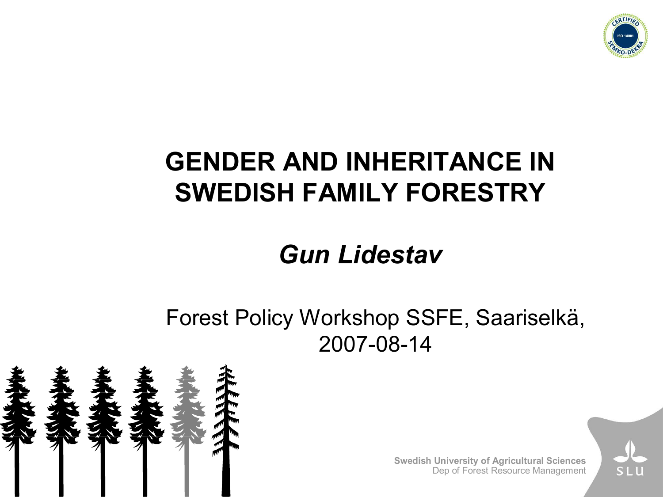

# **GENDER AND INHERITANCE IN SWEDISH FAMILY FORESTRY**

### *Gun Lidestav*

Forest Policy Workshop SSFE, Saariselkä, 2007-08-14



**Swedish University of Agricultural Sciences** Dep of Forest Resource Management

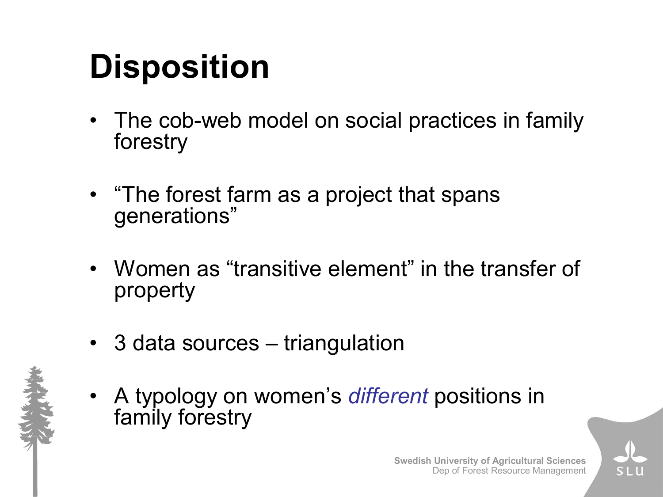# **Disposition**

- The cob-web model on social practices in family forestry
- "The forest farm as a project that spans generations"
- Women as "transitive element" in the transfer of property
- 3 data sources triangulation
- A typology on women's *different* positions in family forestry

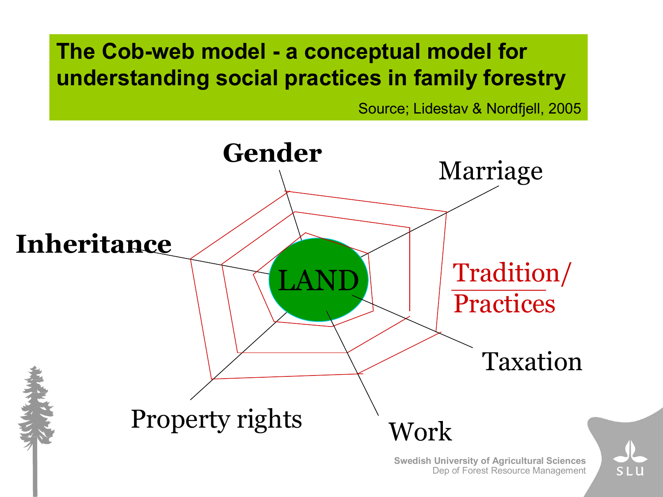### The Cob-web model - a conceptual model for **understanding social practices in family forestry**

Source; Lidestav & Nordfjell, 2005

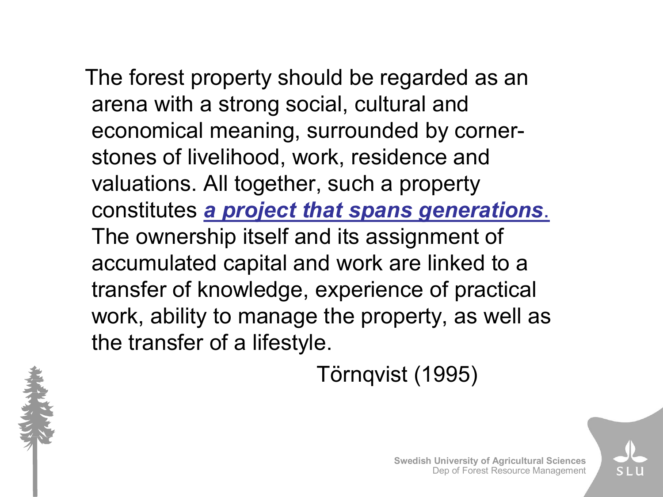The forest property should be regarded as an arena with a strong social, cultural and economical meaning, surrounded by corner stones of livelihood, work, residence and valuations. All together, such a property constitutes *a project that spans generations*. The ownership itself and its assignment of accumulated capital and work are linked to a transfer of knowledge, experience of practical work, ability to manage the property, as well as the transfer of a lifestyle.

Törnqvist (1995)



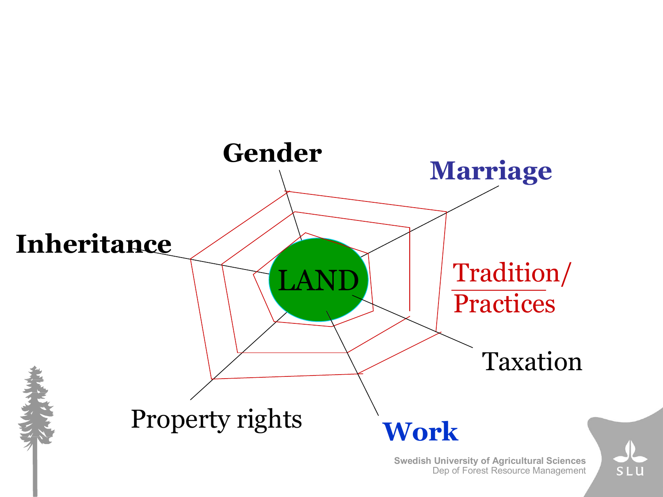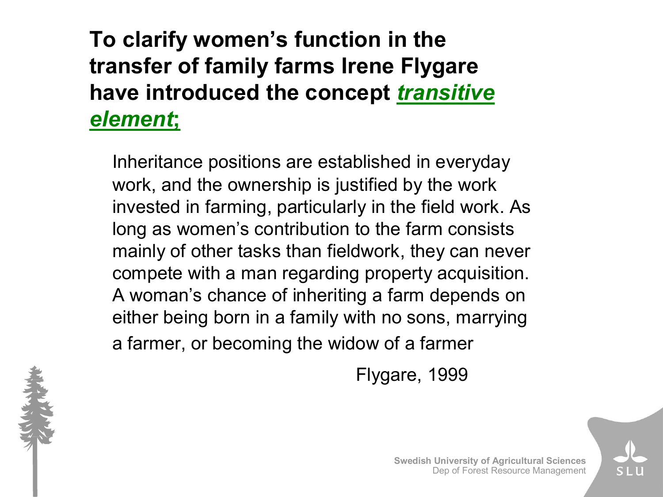### **To clarify women's function in the transfer of family farms Irene Flygare have introduced the concept** *transitive element***;**

Inheritance positions are established in everyday work, and the ownership is justified by the work invested in farming, particularly in the field work. As long as women's contribution to the farm consists mainly of other tasks than fieldwork, they can never compete with a man regarding property acquisition. A woman's chance of inheriting a farm depends on either being born in a family with no sons, marrying a farmer, or becoming the widow of a farmer

Flygare, 1999

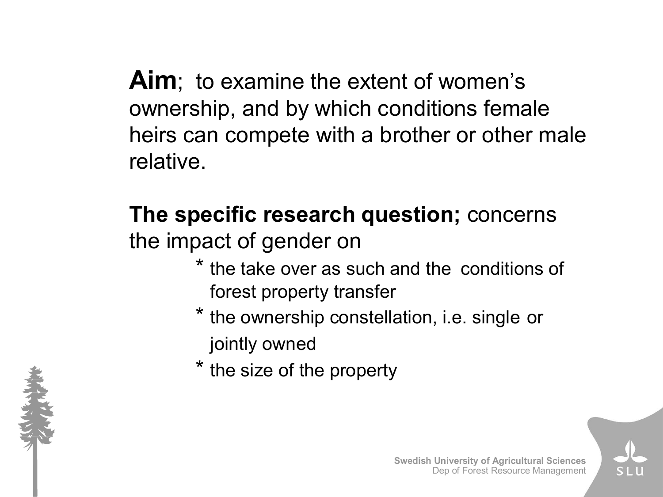**Aim**; to examine the extent of women's ownership, and by which conditions female heirs can compete with a brother or other male relative.

### **The specific research question;** concerns the impact of gender on

- the take over as such and the conditions of forest property transfer
- \* the ownership constellation, i.e. single or jointly owned
- \* the size of the property



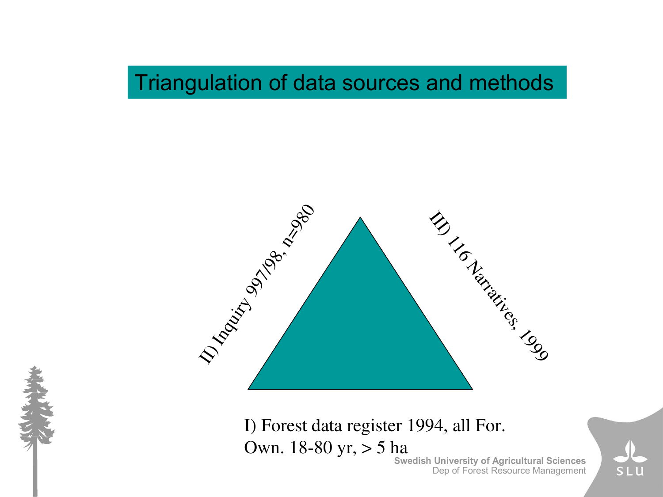### Triangulation of data sources and methods



I) Forest data register 1994, all For. Own. 18-80 yr, > 5 ha

**Swedish University of Agricultural Sciences** Dep of Forest Resource Management



SLU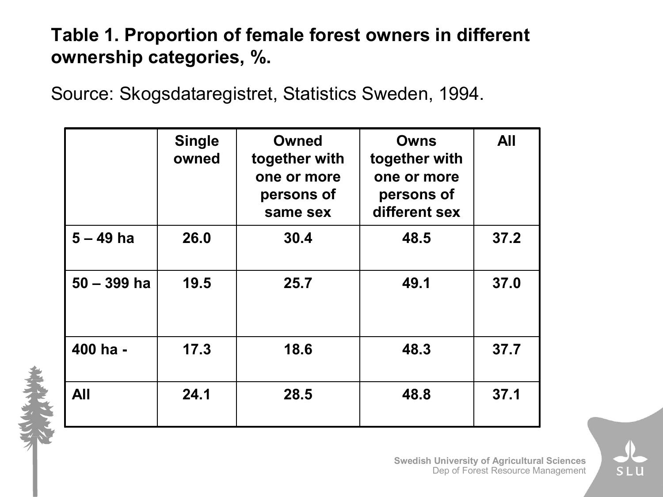#### **Table 1. Proportion of female forest owners in different ownership categories, %.**

Source: Skogsdataregistret, Statistics Sweden, 1994.

|               | <b>Single</b><br>owned | <b>Owned</b><br>together with<br>one or more<br>persons of<br>same sex | <b>Owns</b><br>together with<br>one or more<br>persons of<br>different sex | <b>All</b> |
|---------------|------------------------|------------------------------------------------------------------------|----------------------------------------------------------------------------|------------|
| $5 - 49$ ha   | 26.0                   | 30.4                                                                   | 48.5                                                                       | 37.2       |
| $50 - 399$ ha | 19.5                   | 25.7                                                                   | 49.1                                                                       | 37.0       |
| 400 ha -      | 17.3                   | 18.6                                                                   | 48.3                                                                       | 37.7       |
| <b>All</b>    | 24.1                   | 28.5                                                                   | 48.8                                                                       | 37.1       |

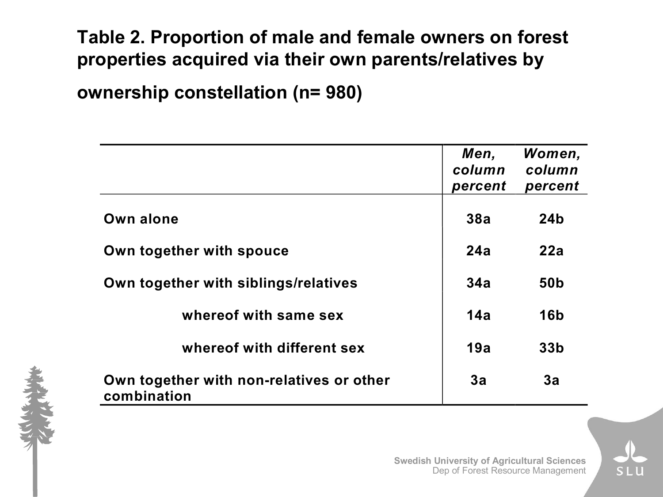#### **Table 2. Proportion of male and female owners on forest properties acquired via their own parents/relatives by**

**ownership constellation (n= 980)**

|                                                         | Men,<br>column<br>percent | Women,<br>column<br>percent |
|---------------------------------------------------------|---------------------------|-----------------------------|
| Own alone                                               | 38a                       | 24 <sub>b</sub>             |
| Own together with spouce                                | 24a                       | 22a                         |
| Own together with siblings/relatives                    | 34a                       | 50 <sub>b</sub>             |
| whereof with same sex                                   | 14a                       | <b>16b</b>                  |
| whereof with different sex                              | 19a                       | 33 <sub>b</sub>             |
| Own together with non-relatives or other<br>combination | 3a                        | 3a                          |

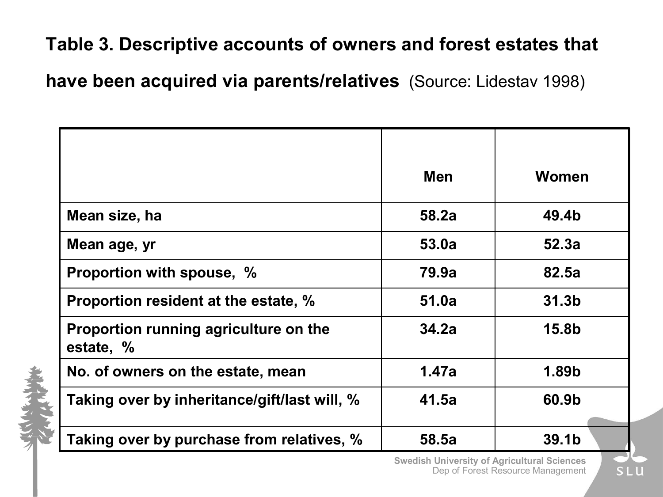#### **Table 3. Descriptive accounts of owners and forest estates that**

**have been acquired via parents/relatives** (Source: Lidestav 1998)

|                                                    | <b>Men</b> | Women             |
|----------------------------------------------------|------------|-------------------|
| Mean size, ha                                      | 58.2a      | 49.4b             |
| Mean age, yr                                       | 53.0a      | 52.3a             |
| Proportion with spouse, %                          | 79.9a      | 82.5a             |
| Proportion resident at the estate, %               | 51.0a      | 31.3 <sub>b</sub> |
| Proportion running agriculture on the<br>estate, % | 34.2a      | 15.8b             |
| No. of owners on the estate, mean                  | 1.47a      | 1.89b             |
| Taking over by inheritance/gift/last will, %       | 41.5a      | 60.9b             |
| Taking over by purchase from relatives, %          | 58.5a      | 39.1b             |

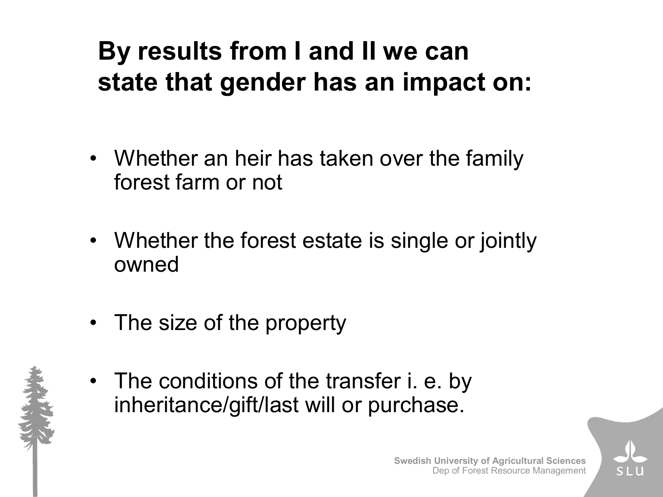# **By results from I and II we can state that gender has an impact on:**

- Whether an heir has taken over the family forest farm or not
- Whether the forest estate is single or jointly owned
- The size of the property
- 
- The conditions of the transfer i. e. by inheritance/gift/last will or purchase.

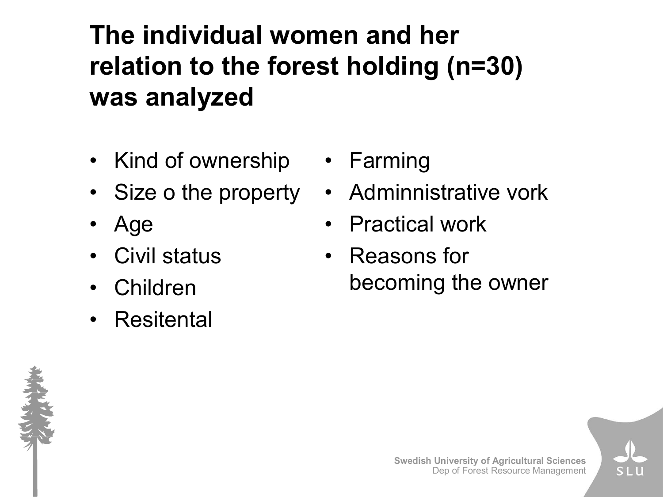# **The individual women and her relation to the forest holding (n=30) was analyzed**

- Kind of ownership
- Size o the property
- Age
- Civil status
- Children
- Resitental
- Farming
- Adminnistrative vork
- Practical work
- Reasons for becoming the owner

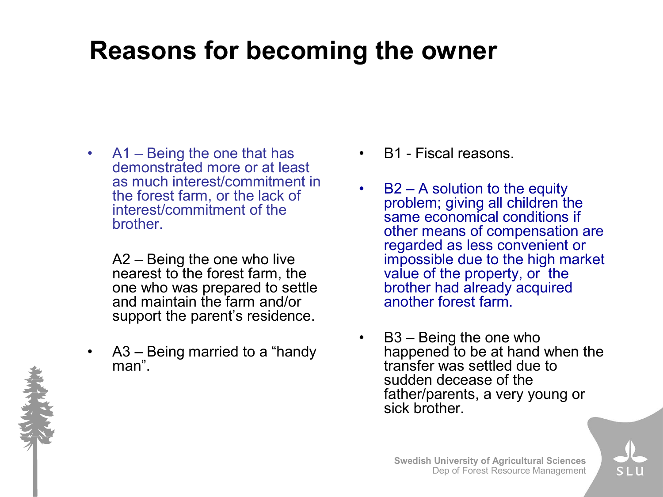### **Reasons for becoming the owner**

• A1 – Being the one that has demonstrated more or at least as much interest/commitment in the forest farm, or the lack of interest/commitment of the brother.

> A2 – Being the one who live nearest to the forest farm, the one who was prepared to settle and maintain the farm and/or support the parent's residence.

A3 – Being married to a "handy" man".

- B1 Fiscal reasons.
- $B2 A$  solution to the equity problem; giving all children the same economical conditions if other means of compensation are regarded as less convenient or impossible due to the high market value of the property, or the brother had already acquired another forest farm.
- B3 Being the one who happened to be at hand when the transfer was settled due to sudden decease of the father/parents, a very young or sick brother.



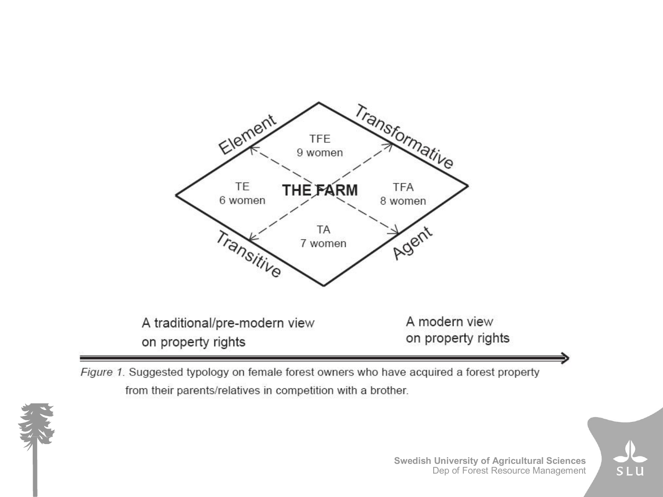

Figure 1. Suggested typology on female forest owners who have acquired a forest property from their parents/relatives in competition with a brother.